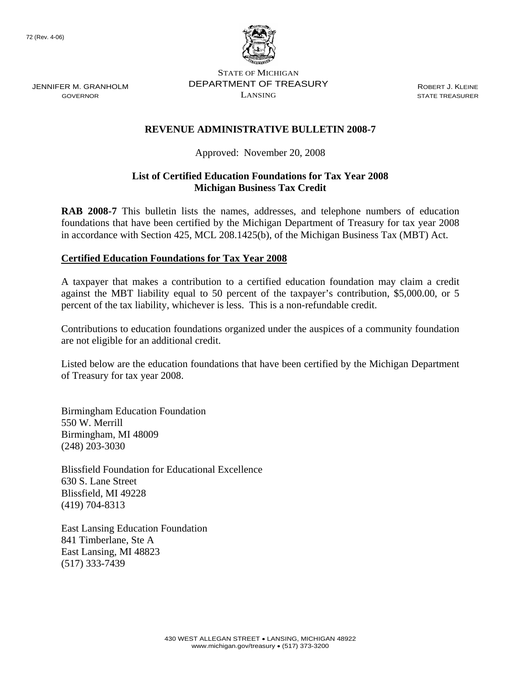JENNIFER M. GRANHOLM GOVERNOR



STATE OF MICHIGAN DEPARTMENT OF TREASURY LANSING

ROBERT J. KLEINE STATE TREASURER

## **REVENUE ADMINISTRATIVE BULLETIN 2008-7**

Approved: November 20, 2008

## **List of Certified Education Foundations for Tax Year 2008 Michigan Business Tax Credit**

**RAB 2008-7** This bulletin lists the names, addresses, and telephone numbers of education foundations that have been certified by the Michigan Department of Treasury for tax year 2008 in accordance with Section 425, MCL 208.1425(b), of the Michigan Business Tax (MBT) Act.

## **Certified Education Foundations for Tax Year 2008**

A taxpayer that makes a contribution to a certified education foundation may claim a credit against the MBT liability equal to 50 percent of the taxpayer's contribution, \$5,000.00, or 5 percent of the tax liability, whichever is less. This is a non-refundable credit.

Contributions to education foundations organized under the auspices of a community foundation are not eligible for an additional credit.

Listed below are the education foundations that have been certified by the Michigan Department of Treasury for tax year 2008.

Birmingham Education Foundation 550 W. Merrill Birmingham, MI 48009 (248) 203-3030

Blissfield Foundation for Educational Excellence 630 S. Lane Street Blissfield, MI 49228 (419) 704-8313

East Lansing Education Foundation 841 Timberlane, Ste A East Lansing, MI 48823 (517) 333-7439